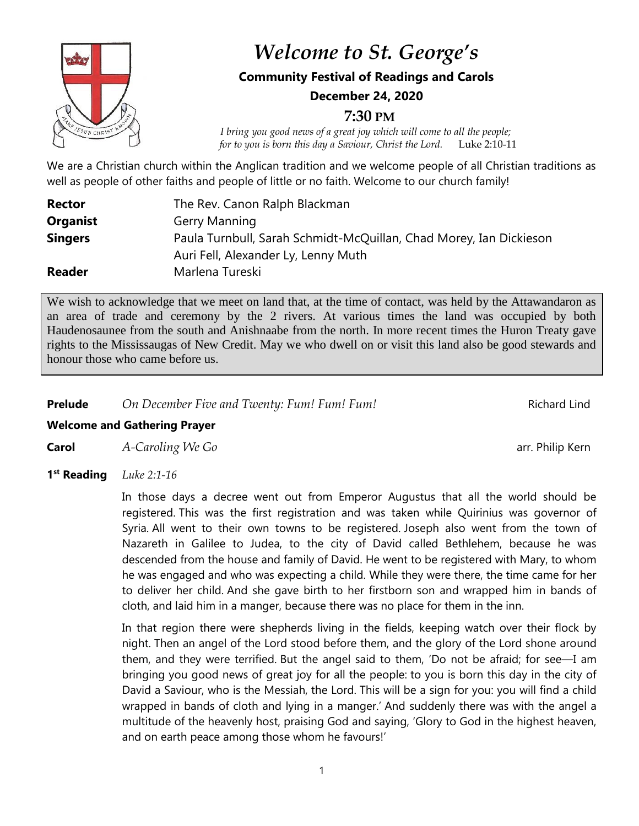

## *Welcome to St. George's*

#### **Community Festival of Readings and Carols**

**December 24, 2020**

#### **7:30 PM**

*I bring you good news of a great joy which will come to all the people; for to you is born this day a Saviour, Christ the Lord.* Luke 2:10-11

We are a Christian church within the Anglican tradition and we welcome people of all Christian traditions as well as people of other faiths and people of little or no faith. Welcome to our church family!

| <b>Rector</b>   | The Rev. Canon Ralph Blackman                                                                             |  |  |
|-----------------|-----------------------------------------------------------------------------------------------------------|--|--|
| <b>Organist</b> | Gerry Manning                                                                                             |  |  |
| <b>Singers</b>  | Paula Turnbull, Sarah Schmidt-McQuillan, Chad Morey, Ian Dickieson<br>Auri Fell, Alexander Ly, Lenny Muth |  |  |
| <b>Reader</b>   | Marlena Tureski                                                                                           |  |  |

We wish to acknowledge that we meet on land that, at the time of contact, was held by the Attawandaron as an area of trade and ceremony by the 2 rivers. At various times the land was occupied by both Haudenosaunee from the south and Anishnaabe from the north. In more recent times the Huron Treaty gave rights to the Mississaugas of New Credit. May we who dwell on or visit this land also be good stewards and honour those who came before us.

**Prelude** On December Five and Twenty: Fum! Fum! Fum! **Fum!** Alchard Lind

#### **Welcome and Gathering Prayer**

**Carol** *A-Caroling We Go* **arr. Philip Kern** 

#### **1 st Reading** *Luke 2:1-16*

In those days a decree went out from Emperor Augustus that all the world should be registered. This was the first registration and was taken while Quirinius was governor of Syria. All went to their own towns to be registered. Joseph also went from the town of Nazareth in Galilee to Judea, to the city of David called Bethlehem, because he was descended from the house and family of David. He went to be registered with Mary, to whom he was engaged and who was expecting a child. While they were there, the time came for her to deliver her child. And she gave birth to her firstborn son and wrapped him in bands of cloth, and laid him in a manger, because there was no place for them in the inn.

In that region there were shepherds living in the fields, keeping watch over their flock by night. Then an angel of the Lord stood before them, and the glory of the Lord shone around them, and they were terrified. But the angel said to them, 'Do not be afraid; for see—I am bringing you good news of great joy for all the people: to you is born this day in the city of David a Saviour, who is the Messiah, the Lord. This will be a sign for you: you will find a child wrapped in bands of cloth and lying in a manger.' And suddenly there was with the angel a multitude of the heavenly host, praising God and saying, 'Glory to God in the highest heaven, and on earth peace among those whom he favours!'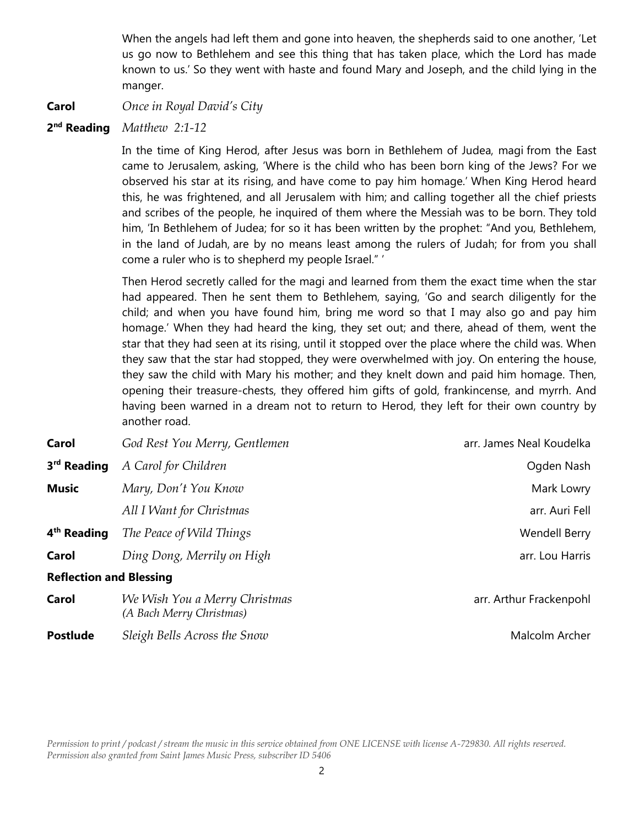When the angels had left them and gone into heaven, the shepherds said to one another, 'Let us go now to Bethlehem and see this thing that has taken place, which the Lord has made known to us.' So they went with haste and found Mary and Joseph, and the child lying in the manger.

#### **Carol** *Once in Royal David's City*

2<sup>nd</sup> Reading **nd Reading** *Matthew 2:1-12* 

> In the time of King Herod, after Jesus was born in Bethlehem of Judea, magi from the East came to Jerusalem, asking, 'Where is the child who has been born king of the Jews? For we observed his star at its rising, and have come to pay him homage.' When King Herod heard this, he was frightened, and all Jerusalem with him; and calling together all the chief priests and scribes of the people, he inquired of them where the Messiah was to be born. They told him, 'In Bethlehem of Judea; for so it has been written by the prophet: "And you, Bethlehem, in the land of Judah, are by no means least among the rulers of Judah; for from you shall come a ruler who is to shepherd my people Israel." '

> Then Herod secretly called for the magi and learned from them the exact time when the star had appeared. Then he sent them to Bethlehem, saying, 'Go and search diligently for the child; and when you have found him, bring me word so that I may also go and pay him homage.' When they had heard the king, they set out; and there, ahead of them, went the star that they had seen at its rising, until it stopped over the place where the child was. When they saw that the star had stopped, they were overwhelmed with joy. On entering the house, they saw the child with Mary his mother; and they knelt down and paid him homage. Then, opening their treasure-chests, they offered him gifts of gold, frankincense, and myrrh. And having been warned in a dream not to return to Herod, they left for their own country by another road.

| Carol                          | God Rest You Merry, Gentlemen                             | arr. James Neal Koudelka |
|--------------------------------|-----------------------------------------------------------|--------------------------|
| 3 <sup>rd</sup> Reading        | A Carol for Children                                      | Ogden Nash               |
| <b>Music</b>                   | Mary, Don't You Know                                      | Mark Lowry               |
|                                | All I Want for Christmas                                  | arr. Auri Fell           |
| 4 <sup>th</sup> Reading        | The Peace of Wild Things                                  | Wendell Berry            |
| Carol                          | Ding Dong, Merrily on High                                | arr. Lou Harris          |
| <b>Reflection and Blessing</b> |                                                           |                          |
| Carol                          | We Wish You a Merry Christmas<br>(A Bach Merry Christmas) | arr. Arthur Frackenpohl  |
| <b>Postlude</b>                | Sleigh Bells Across the Snow                              | Malcolm Archer           |

*Permission to print / podcast / stream the music in this service obtained from ONE LICENSE with license A-729830. All rights reserved. Permission also granted from Saint James Music Press, subscriber ID 5406*